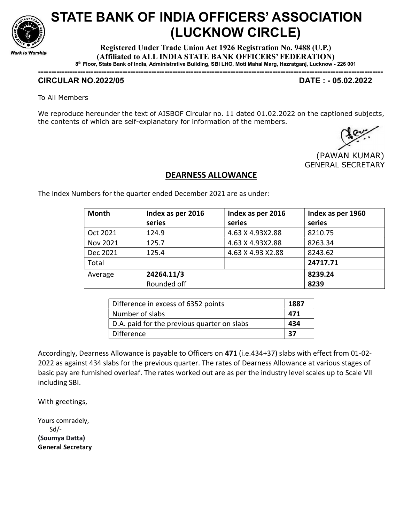

## STATE BANK OF INDIA OFFICERS' ASSOCIATION (LUCKNOW CIRCLE)

Registered Under Trade Union Act 1926 Registration No. 9488 (U.P.) (Affiliated to ALL INDIA STATE BANK OFFICERS' FEDERATION) 8 th Floor, State Bank of India, Administrative Building, SBI LHO, Moti Mahal Marg, Hazratganj, Lucknow - 226 001

-----------------------------------------------------------------------------------------------------------------------------------

## CIRCULAR NO.2022/05 DATE : - 05.02.2022

To All Members

We reproduce hereunder the text of AISBOF Circular no. 11 dated 01.02.2022 on the captioned subjects, the contents of which are self-explanatory for information of the members.

 (PAWAN KUMAR) GENERAL SECRETARY

## DEARNESS ALLOWANCE

The Index Numbers for the quarter ended December 2021 are as under:

| <b>Month</b> | Index as per 2016 | Index as per 2016  | Index as per 1960 |
|--------------|-------------------|--------------------|-------------------|
|              | series            | series             | series            |
| Oct 2021     | 124.9             | 4.63 X 4.93X2.88   | 8210.75           |
| Nov 2021     | 125.7             | 4.63 X 4.93X2.88   | 8263.34           |
| Dec 2021     | 125.4             | 4.63 X 4.93 X 2.88 | 8243.62           |
| Total        |                   |                    | 24717.71          |
| Average      | 24264.11/3        |                    | 8239.24           |
|              | Rounded off       |                    | 8239              |

| Difference in excess of 6352 points         | 1887 |
|---------------------------------------------|------|
| Number of slabs                             | 471  |
| D.A. paid for the previous quarter on slabs | 434  |
| Difference                                  | 37   |

Accordingly, Dearness Allowance is payable to Officers on 471 (i.e.434+37) slabs with effect from 01-02- 2022 as against 434 slabs for the previous quarter. The rates of Dearness Allowance at various stages of basic pay are furnished overleaf. The rates worked out are as per the industry level scales up to Scale VII including SBI.

With greetings,

Yours comradely, Sd/- (Soumya Datta) General Secretary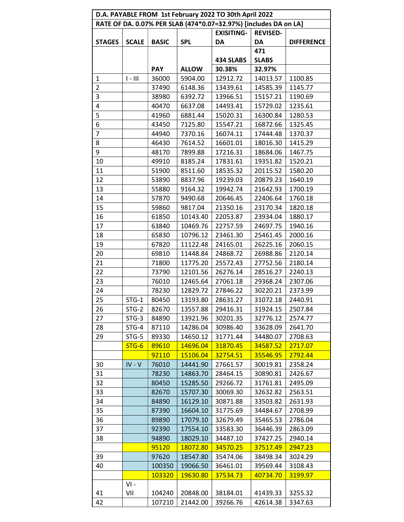| D.A. PAYABLE FROM 1st February 2022 TO 30th April 2022           |              |              |                   |                 |              |                   |
|------------------------------------------------------------------|--------------|--------------|-------------------|-----------------|--------------|-------------------|
| RATE OF DA. 0.07% PER SLAB (474*0.07=32.97%) [includes DA on LA] |              |              |                   |                 |              |                   |
|                                                                  |              |              | <b>EXISITING-</b> | <b>REVISED-</b> |              |                   |
| <b>STAGES</b>                                                    | <b>SCALE</b> | <b>BASIC</b> | <b>SPL</b>        | DA              | DA           | <b>DIFFERENCE</b> |
|                                                                  |              |              |                   |                 | 471          |                   |
|                                                                  |              |              |                   | 434 SLABS       | <b>SLABS</b> |                   |
|                                                                  |              | <b>PAY</b>   | <b>ALLOW</b>      | 30.38%          | 32.97%       |                   |
| 1                                                                | $I - III$    | 36000        | 5904.00           | 12912.72        | 14013.57     | 1100.85           |
| 2                                                                |              | 37490        | 6148.36           | 13439.61        | 14585.39     | 1145.77           |
| 3                                                                |              | 38980        | 6392.72           | 13966.51        | 15157.21     | 1190.69           |
| 4                                                                |              | 40470        | 6637.08           | 14493.41        | 15729.02     | 1235.61           |
| 5                                                                |              | 41960        | 6881.44           | 15020.31        | 16300.84     | 1280.53           |
| 6                                                                |              | 43450        | 7125.80           | 15547.21        | 16872.66     | 1325.45           |
| $\overline{7}$                                                   |              | 44940        | 7370.16           | 16074.11        | 17444.48     | 1370.37           |
| 8                                                                |              | 46430        | 7614.52           | 16601.01        | 18016.30     | 1415.29           |
| 9                                                                |              | 48170        | 7899.88           | 17216.31        | 18684.06     | 1467.75           |
| 10                                                               |              | 49910        | 8185.24           | 17831.61        | 19351.82     | 1520.21           |
| 11                                                               |              | 51900        | 8511.60           | 18535.32        | 20115.52     | 1580.20           |
| 12                                                               |              | 53890        | 8837.96           | 19239.03        | 20879.23     | 1640.19           |
| 13                                                               |              | 55880        | 9164.32           | 19942.74        | 21642.93     | 1700.19           |
| 14                                                               |              | 57870        | 9490.68           | 20646.45        | 22406.64     | 1760.18           |
| 15                                                               |              | 59860        | 9817.04           | 21350.16        | 23170.34     | 1820.18           |
| 16                                                               |              | 61850        | 10143.40          | 22053.87        | 23934.04     | 1880.17           |
| 17                                                               |              | 63840        | 10469.76          | 22757.59        | 24697.75     | 1940.16           |
| 18                                                               |              | 65830        | 10796.12          | 23461.30        | 25461.45     | 2000.16           |
| 19                                                               |              | 67820        | 11122.48          | 24165.01        | 26225.16     | 2060.15           |
| 20                                                               |              | 69810        | 11448.84          | 24868.72        | 26988.86     | 2120.14           |
| 21                                                               |              | 71800        | 11775.20          | 25572.43        | 27752.56     | 2180.14           |
| 22                                                               |              | 73790        | 12101.56          | 26276.14        | 28516.27     | 2240.13           |
| 23                                                               |              | 76010        | 12465.64          | 27061.18        | 29368.24     | 2307.06           |
| 24                                                               |              | 78230        | 12829.72          | 27846.22        | 30220.21     | 2373.99           |
| 25                                                               | $STG-1$      | 80450        | 13193.80          | 28631.27        | 31072.18     | 2440.91           |
| 26                                                               | $STG-2$      | 82670        | 13557.88          | 29416.31        | 31924.15     | 2507.84           |
| 27                                                               | $STG-3$      | 84890        | 13921.96          | 30201.35        | 32776.12     | 2574.77           |
| 28                                                               | STG-4        | 87110        | 14286.04          | 30986.40        | 33628.09     | 2641.70           |
| 29                                                               | STG-5        | 89330        | 14650.12          | 31771.44        | 34480.07     | 2708.63           |
|                                                                  | $STG-6$      | 89610        | 14696.04          | 31870.45        | 34587.52     | 2717.07           |
|                                                                  |              | 92110        | 15106.04          | 32754.51        | 35546.95     | 2792.44           |
| 30                                                               | $IV - V$     | 76010        | 14441.90          | 27661.57        | 30019.81     | 2358.24           |
| 31                                                               |              | 78230        | 14863.70          | 28464.15        | 30890.81     | 2426.67           |
| 32                                                               |              | 80450        | 15285.50          | 29266.72        | 31761.81     | 2495.09           |
| 33                                                               |              | 82670        | 15707.30          | 30069.30        | 32632.82     | 2563.51           |
| 34                                                               |              | 84890        | 16129.10          | 30871.88        | 33503.82     | 2631.93           |
| 35                                                               |              | 87390        | 16604.10          | 31775.69        | 34484.67     | 2708.99           |
| 36                                                               |              | 89890        | 17079.10          | 32679.49        | 35465.53     | 2786.04           |
| 37                                                               |              | 92390        | 17554.10          | 33583.30        | 36446.39     | 2863.09           |
| 38                                                               |              | 94890        | 18029.10          | 34487.10        | 37427.25     | 2940.14           |
|                                                                  |              | 95120        | 18072.80          | 34570.25        | 37517.49     | 2947.23           |
| 39                                                               |              | 97620        | 18547.80          | 35474.06        | 38498.34     | 3024.29           |
| 40                                                               |              | 100350       | 19066.50          | 36461.01        | 39569.44     | 3108.43           |
|                                                                  |              | 103320       | 19630.80          | 37534.73        | 40734.70     | 3199.97           |
|                                                                  | $VI -$       |              |                   |                 |              |                   |
| 41                                                               | VII          | 104240       | 20848.00          | 38184.01        | 41439.33     | 3255.32           |
| 42                                                               |              | 107210       | 21442.00          | 39266.76        | 42614.38     | 3347.63           |